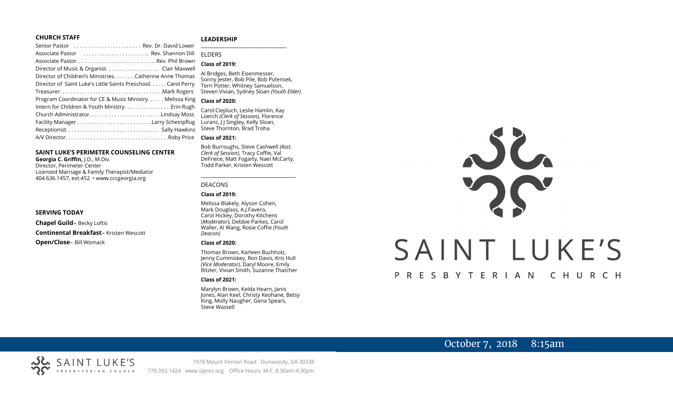#### **CHURCH STAFF**

#### **LEADERSHIP**

| Senior Pastor  Rev. Dr. David Lower                           |                                                                        |
|---------------------------------------------------------------|------------------------------------------------------------------------|
| Associate Pastor  Rev. Shannon Dill                           | <b>FIDERS</b>                                                          |
|                                                               | <b>Class of 2019:</b>                                                  |
|                                                               |                                                                        |
| Director of Children's MinistriesCatherine Anne Thomas        | Al Bridges, Beth Eisenmesser,                                          |
| Director of Saint Luke's Little Saints Preschool. Carol Perry | Sonny Jester, Bob Pile, Bob Polens<br>Terri Potter, Whitney Samuelson, |
| TreasurerMark Rogers                                          | Steven Vivian, Sydney Sloan (Youth                                     |
| Program Coordinator for CE & Music Ministry Melissa King      | <b>Class of 2020:</b>                                                  |
| Intern for Children & Youth MinistryErin Rugh                 | Carol Ciepluch, Leslie Hamlin, Kay                                     |
| Church AdministratorLindsay Moss                              | Loerch (Clerk of Session), Florence                                    |
|                                                               | Luranc, JJ Singley, Kelly Sloan,                                       |
|                                                               | Steve Thornton, Brad Troha                                             |
|                                                               | <b>Class of 2021:</b>                                                  |
|                                                               |                                                                        |

#### **SAINT LUKE'S PERIMETER COUNSELING CENTER**

**Georgia C. Griffin,** J.D., M.Div. Director, Perimeter Center Licensed Marriage & Family Therapist/Mediator 404.636.1457, ext.452 • www.cccgeorgia.org

#### **SERVING TODAY**

**Chapel Guild**– Becky Loftis

**Continental Breakfast**– Kristen Wescott

**Open/Close**– Bill Womack

# ELDERS

#### **Class of 2019:**

Al Bridges, Beth Eisenmesser, Sonny Jester, Bob Pile, Bob Polensek, Terri Potter, Whitney Samuelson, Steven Vivian*,* Sydney Sloan *(Youth Elder)*

#### **Class of 2020:**

#### **Class of 2021:**

Bob Burroughs, Steve Cashwell *(Asst. Clerk of Session),* Tracy Coffie, Val DeFriece, Matt Fogarty, Nael McCarty, Todd Parker, Kristen Wescott

\_\_\_\_\_\_\_\_\_\_\_\_\_\_\_\_\_\_\_\_\_\_\_\_\_\_\_\_\_\_\_\_\_\_\_\_

#### DEACONS

#### **Class of 2019:**

Melissa Blakely, Alyson Cohen, Mark Douglass, A.J.Favero, Carol Hickey, Dorothy Kitchens (*Moderator*), Debbie Parkes, Carol Waller, Al Wang, Rosie Coffie *(Youth Deacon)* 

#### **Class of 2020:**

Thomas Brown, Karleen Buchholz, Jenny Cummiskey, Ron Davis, Kris Hull *(Vice Moderator),* Daryl Moore, Emily Ritzler, Vivian Smith, Suzanne Thatcher

#### **Class of 2021:**

Marylyn Brown, Kelda Hearn, Janis Jones, Alan Keel, Christy Keohane, Betsy King, Molly Naugher, Gena Spears, Steve Wassell

# NG SAINT LUKE'S PRESBYTERIAN CHURCH

# October 7, 2018 8:15am

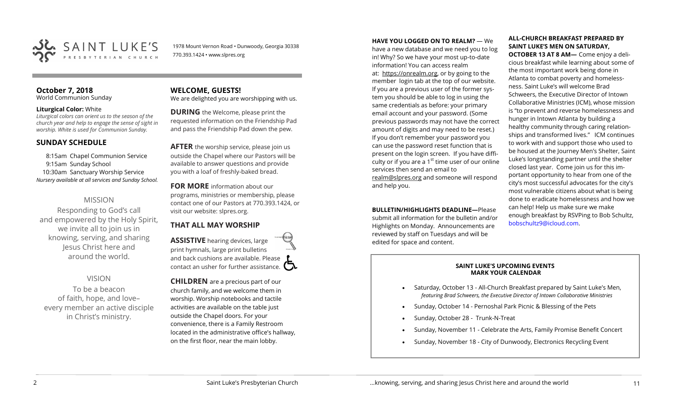

1978 Mount Vernon Road • Dunwoody, Georgia 30338 770.393.1424 • www.slpres.org

#### **October 7, 2018**  World Communion Sunday

#### **Liturgical Color:** White

*Liturgical colors can orient us to the season of the church year and help to engage the sense of sight in worship. White is used for Communion Sunday.*

# **SUNDAY SCHEDULE**

8:15am Chapel Communion Service 9:15am Sunday School 10:30am Sanctuary Worship Service *Nursery available at all services and Sunday School.* 

# MISSION

Responding to God's call and empowered by the Holy Spirit, we invite all to join us in knowing, serving, and sharing Jesus Christ here and around the world.

# VISION

To be a beacon of faith, hope, and love– every member an active disciple in Christ's ministry.

**WELCOME, GUESTS!**  We are delighted you are worshipping with us.

**DURING** the Welcome, please print the requested information on the Friendship Pad and pass the Friendship Pad down the pew.

**AFTER** the worship service, please join us outside the Chapel where our Pastors will be available to answer questions and provide you with a loaf of freshly-baked bread.

**FOR MORE** information about our programs, ministries or membership, please contact one of our Pastors at 770.393.1424, or visit our website: slpres.org.

# **THAT ALL MAY WORSHIP**

**ASSISTIVE** hearing devices, large print hymnals, large print bulletins and back cushions are available. Please contact an usher for further assistance.  $\Box$ 

**CHILDREN** are a precious part of our church family, and we welcome them in worship. Worship notebooks and tactile activities are available on the table just outside the Chapel doors. For your convenience, there is a Family Restroom located in the administrative office's hallway, on the first floor, near the main lobby.

**HAVE YOU LOGGED ON TO REALM?** — We have a new database and we need you to log in! Why? So we have your most up-to-date information! You can access realm at: [https://onrealm.org,](https://onrealm.org) or by going to the member login tab at the top of our website. If you are a previous user of the former system you should be able to log in using the same credentials as before: your primary email account and your password. (Some previous passwords may not have the correct amount of digits and may need to be reset.) If you don't remember your password you can use the password reset function that is present on the login screen. If you have difficulty or if you are a  $1<sup>st</sup>$  time user of our online services then send an email to [realm@slpres.org](mailto:realm@slpres.org) and someone will respond and help you.

**BULLETIN/HIGHLIGHTS DEADLINE—Please** submit all information for the bulletin and/or Highlights on Monday. Announcements are reviewed by staff on Tuesdays and will be edited for space and content.

### **ALL-CHURCH BREAKFAST PREPARED BY SAINT LUKE'S MEN ON SATURDAY,**

**OCTOBER 13 AT 8 AM—** Come enjoy a delicious breakfast while learning about some of the most important work being done in Atlanta to combat poverty and homelessness. Saint Luke's will welcome Brad Schweers, the Executive Director of Intown Collaborative Ministries (ICM), whose mission is "to prevent and reverse homelessness and hunger in Intown Atlanta by building a healthy community through caring relationships and transformed lives." ICM continues to work with and support those who used to be housed at the Journey Men's Shelter, Saint Luke's longstanding partner until the shelter closed last year. Come join us for this important opportunity to hear from one of the city's most successful advocates for the city's most vulnerable citizens about what is being done to eradicate homelessness and how we can help! Help us make sure we make enough breakfast by RSVPing to Bob Schultz, [bobschultz9@icloud.com.](mailto:bobschultz9@icloud.com)

#### **SAINT LUKE'S UPCOMING EVENTS MARK YOUR CALENDAR**

- Saturday, October 13 All-Church Breakfast prepared by Saint Luke's Men, *featuring Brad Schweers, the Executive Director of Intown Collaborative Ministries*
- Sunday, October 14 Pernoshal Park Picnic & Blessing of the Pets
- Sunday, October 28 Trunk-N-Treat
- Sunday, November 11 Celebrate the Arts, Family Promise Benefit Concert
- Sunday, November 18 City of Dunwoody, Electronics Recycling Event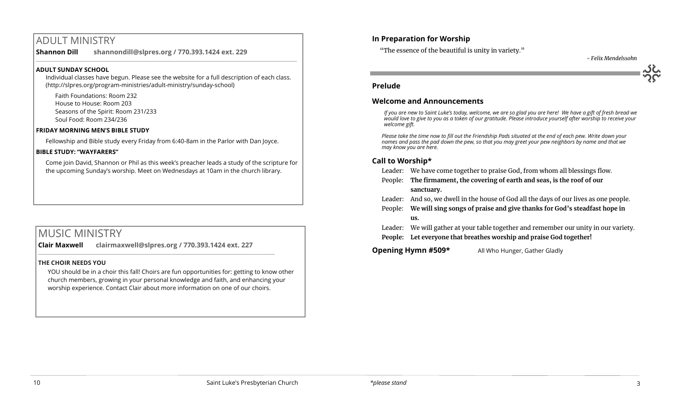# ADULT MINISTRY

**Shannon Dill shannondill@slpres.org / 770.393.1424 ext. 229**   $\_$  ,  $\_$  ,  $\_$  ,  $\_$  ,  $\_$  ,  $\_$  ,  $\_$  ,  $\_$  ,  $\_$  ,  $\_$  ,  $\_$  ,  $\_$  ,  $\_$  ,  $\_$  ,  $\_$  ,  $\_$  ,  $\_$  ,  $\_$  ,  $\_$ 

# **ADULT SUNDAY SCHOOL**

Individual classes have begun. Please see the website for a full description of each class. (http://slpres.org/program-ministries/adult-ministry/sunday-school)

Faith Foundations: Room 232 House to House: Room 203 Seasons of the Spirit: Room 231/233 Soul Food: Room 234/236

#### **FRIDAY MORNING MEN'S BIBLE STUDY**

Fellowship and Bible study every Friday from 6:40-8am in the Parlor with Dan Joyce.

#### **BIBLE STUDY: "WAYFARERS"**

Come join David, Shannon or Phil as this week's preacher leads a study of the scripture for the upcoming Sunday's worship. Meet on Wednesdays at 10am in the church library.

# MUSIC MINISTRY

**Clair Maxwell clairmaxwell@slpres.org / 770.393.1424 ext. 227**   $\_$  ,  $\_$  ,  $\_$  ,  $\_$  ,  $\_$  ,  $\_$  ,  $\_$  ,  $\_$  ,  $\_$  ,  $\_$  ,  $\_$  ,  $\_$  ,  $\_$  ,  $\_$  ,  $\_$  ,  $\_$  ,  $\_$  ,  $\_$  ,  $\_$ 

#### **THE CHOIR NEEDS YOU**

YOU should be in a choir this fall! Choirs are fun opportunities for: getting to know other church members, growing in your personal knowledge and faith, and enhancing your worship experience. Contact Clair about more information on one of our choirs.

# **In Preparation for Worship**

"The essence of the beautiful is unity in variety."

*- Felix Mendelssohn*

### **Prelude**

# **Welcome and Announcements**

*If you are new to Saint Luke's today, welcome, we are so glad you are here! We have a gift of fresh bread we would love to give to you as a token of our gratitude. Please introduce yourself after worship to receive your welcome gift.*

*Please take the time now to fill out the Friendship Pads situated at the end of each pew. Write down your names and pass the pad down the pew, so that you may greet your pew neighbors by name and that we may know you are here.*

# **Call to Worship\***

- Leader: We have come together to praise God, from whom all blessings flow.
- People: **The firmament, the covering of earth and seas, is the roof of our sanctuary.**
- Leader: And so, we dwell in the house of God all the days of our lives as one people.
- People: **We will sing songs of praise and give thanks for God's steadfast hope in us.**
- Leader: We will gather at your table together and remember our unity in our variety.
- **People: Let everyone that breathes worship and praise God together!**

# **Opening Hymn #509\*** All Who Hunger, Gather Gladly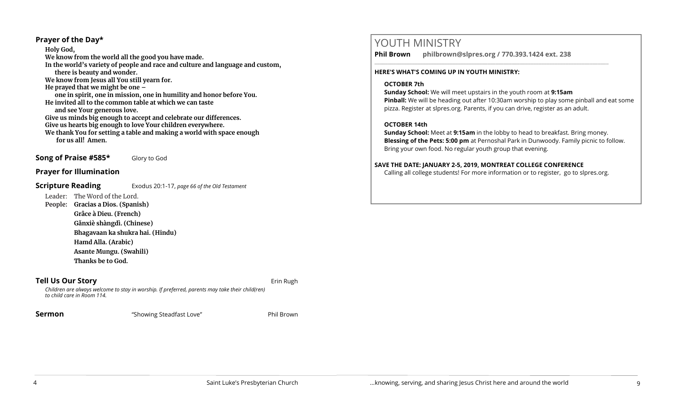# **Prayer of the Day\***

**Holy God, We know from the world all the good you have made. In the world's variety of people and race and culture and language and custom, there is beauty and wonder. We know from Jesus all You still yearn for. He prayed that we might be one – one in spirit, one in mission, one in humility and honor before You. He invited all to the common table at which we can taste and see Your generous love. Give us minds big enough to accept and celebrate our differences. Give us hearts big enough to love Your children everywhere. We thank You for setting a table and making a world with space enough for us all! Amen.**

**Song of Praise #585\*** Glory to God

# **Prayer for Illumination**

# **Scripture Reading** Exodus 20:1-17, *page 66 of the Old Testament*

Leader: The Word of the Lord.

**People: Gracias a Dios. (Spanish) Grâce à Dieu. (French) Gǎnxiè shàngdì. (Chinese) Bhagavaan ka shukra hai. (Hindu) Hamd Alla. (Arabic) Asante Mungu. (Swahili)**

**Thanks be to God.**

**Tell Us Our Story Example 20 and Story** *Existence Complete Complete Complete Complete Complete Complete Complete* 

*Children are always welcome to stay in worship. If preferred, parents may take their child(ren) to child care in Room 114.*

**Sermon** "Showing Steadfast Love" Phil Brown

# YOUTH MINISTRY

**Phil Brown philbrown@slpres.org / 770.393.1424 ext. 238** 

\_\_\_\_\_\_\_\_\_\_\_\_\_\_\_\_\_\_\_\_\_\_\_\_\_\_\_\_\_\_\_\_\_\_\_\_\_\_\_\_\_\_\_\_\_\_\_\_\_\_\_\_\_\_\_\_\_\_\_\_\_\_\_\_\_\_\_\_\_\_\_\_\_\_\_\_\_\_\_\_\_\_\_\_\_\_\_

#### **HERE'S WHAT'S COMING UP IN YOUTH MINISTRY:**

#### **OCTOBER 7th**

**Sunday School:** We will meet upstairs in the youth room at **9:15am Pinball:** We will be heading out after 10:30am worship to play some pinball and eat some pizza. Register at slpres.org. Parents, if you can drive, register as an adult.

# **OCTOBER 14th**

**Sunday School:** Meet at **9:15am** in the lobby to head to breakfast. Bring money. **Blessing of the Pets: 5:00 pm** at Pernoshal Park in Dunwoody. Family picnic to follow. Bring your own food. No regular youth group that evening.

# **SAVE THE DATE: JANUARY 2-5, 2019, MONTREAT COLLEGE CONFERENCE**

Calling all college students! For more information or to register, go to slpres.org.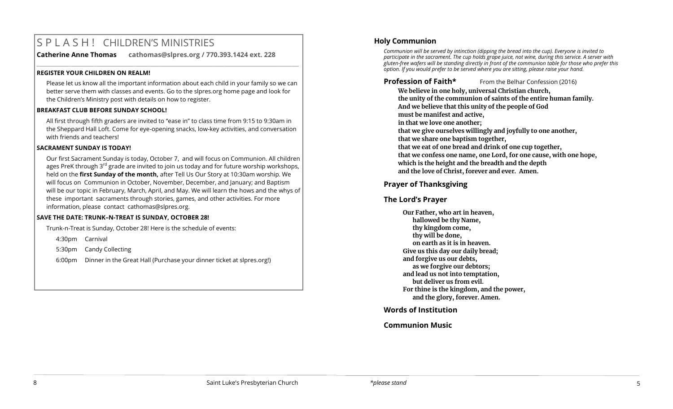# S P L A S H ! CHILDREN'S MINISTRIES

**Catherine Anne Thomas cathomas@slpres.org / 770.393.1424 ext. 228** 

#### **REGISTER YOUR CHILDREN ON REALM!**

Please let us know all the important information about each child in your family so we can better serve them with classes and events. Go to the slpres.org home page and look for the Children's Ministry post with details on how to register.

**\_\_\_\_\_\_\_\_\_\_\_\_\_\_\_\_\_\_\_\_\_\_\_\_\_\_\_\_\_\_\_\_\_\_\_\_\_\_\_\_\_\_\_\_\_\_\_\_\_\_\_\_\_\_\_\_\_\_\_\_\_\_\_\_\_\_\_\_\_\_\_\_\_\_\_\_\_\_\_\_\_\_\_\_\_\_\_\_\_\_\_\_\_\_\_\_\_\_\_\_\_\_\_\_\_\_** 

# **BREAKFAST CLUB BEFORE SUNDAY SCHOOL!**

All first through fifth graders are invited to "ease in" to class time from 9:15 to 9:30am in the Sheppard Hall Loft. Come for eye-opening snacks, low-key activities, and conversation with friends and teachers!

# **SACRAMENT SUNDAY IS TODAY!**

Our first Sacrament Sunday is today, October 7, and will focus on Communion. All children ages PreK through  $3^{rd}$  grade are invited to join us today and for future worship workshops, held on the **first Sunday of the month,** after Tell Us Our Story at 10:30am worship. We will focus on Communion in October, November, December, and January; and Baptism will be our topic in February, March, April, and May. We will learn the hows and the whys of these important sacraments through stories, games, and other activities. For more information, please contact [cathomas@slpres.org.](mailto:cathomas@slpres.org)

### **SAVE THE DATE: TRUNK–N-TREAT IS SUNDAY, OCTOBER 28!**

Trunk-n-Treat is Sunday, October 28! Here is the schedule of events:

4:30pm Carnival

5:30pm Candy Collecting

6:00pm Dinner in the Great Hall (Purchase your dinner ticket at slpres.org!)

# **Holy Communion**

*Communion will be served by intinction (dipping the bread into the cup). Everyone is invited to participate in the sacrament. The cup holds grape juice, not wine, during this service. A server with gluten-free wafers will be standing directly in front of the communion table for those who prefer this option. If you would prefer to be served where you are sitting, please raise your hand.*

# **Profession of Faith\*** From the Belhar Confession (2016)

**We believe in one holy, universal Christian church, the unity of the communion of saints of the entire human family. And we believe that this unity of the people of God must be manifest and active, in that we love one another; that we give ourselves willingly and joyfully to one another, that we share one baptism together, that we eat of one bread and drink of one cup together, that we confess one name, one Lord, for one cause, with one hope, which is the height and the breadth and the depth and the love of Christ, forever and ever. Amen.**

# **Prayer of Thanksgiving**

# **The Lord's Prayer**

**Our Father, who art in heaven, hallowed be thy Name, thy kingdom come, thy will be done, on earth as it is in heaven. Give us this day our daily bread; and forgive us our debts, as we forgive our debtors; and lead us not into temptation, but deliver us from evil. For thine is the kingdom, and the power, and the glory, forever. Amen.** 

# **Words of Institution**

# **Communion Music**